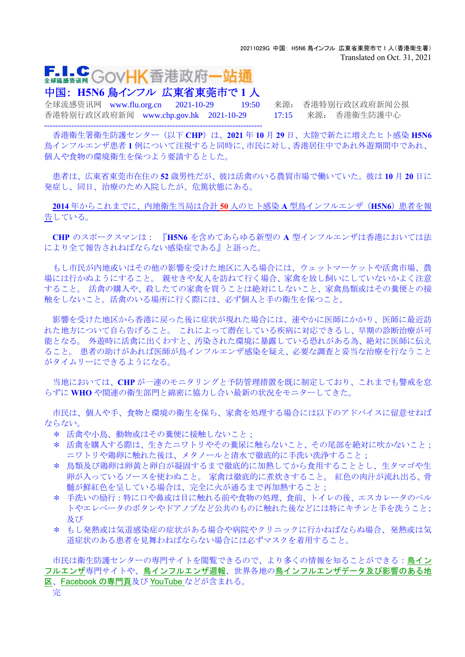## **F.I.C** GovHK香港政府一站通 全球流感资讯网

中国: **H5N6** 鳥インフル 広東省東莞市で **1** 人

全球流感资讯网 www.flu.org.cn 2021-10-29 19:50 来源: 香港特别行政区政府新闻公报 香港特别行政区政府新闻 www.chp.gov.hk 2021-10-29 17:15 来源: 香港衛生防護中心 --------------------------------------------------------------------------------

香港衛生署衛生防護センター(以下 **CHP**)は、**2021** 年 **10** 月 **29** 日、大陸で新たに増えたヒト感染 **H5N6** 鳥インフルエンザ患者 **1** 例について注視すると同時に、市民に対し、香港居住中であれ外遊期間中であれ、 個人や食物の環境衛生を保つよう要請するとした。

患者は、広東省東莞市在住の **52** 歳男性だが、彼は活禽のいる農貿市場で働いていた。彼は **10** 月 **20** 日に 発症し、同日、治療のため入院したが、危篤状態にある。

**2014** 年からこれまでに、内地衛生当局は合計 **50** 人のヒト感染 **A** 型鳥インフルエンザ(**H5N6**)患者を報 告している。

**CHP** のスポークスマンは: 『**H5N6** を含めてあらゆる新型の **A** 型インフルエンザは香港においては法 により全て報告されねばならない感染症である』と語った。

もし市民が内地或いはその他の影響を受けた地区に入る場合には、ウェットマーケットや活禽市場、農 場には行かぬようにすること。 親せきや友人を訪ねて行く場合、家禽を放し飼いにしていないかよく注意 すること。 活禽の購入や、殺したての家禽を買うことは絶対にしないこと、家禽鳥類或はその糞便との接 触をしないこと。活禽のいる場所に行く際には、必ず個人と手の衛生を保つこと。

影響を受けた地区から香港に戻った後に症状が現れた場合には、速やかに医師にかかり、医師に最近訪 れた地方について自ら告げること。 これによって潜在している疾病に対応できるし、早期の診断治療が可 能となる。 外遊時に活禽に出くわすと、汚染された環境に暴露している恐れがある為、絶対に医師に伝え ること。 患者の助けがあれば医師が鳥インフルエンザ感染を疑え、必要な調査と妥当な治療を行なうこと がタイムリーにできるようになる。

当地においては、**CHP** が一連のモニタリングと予防管理措置を既に制定しており、これまでも警戒を怠 らずに **WHO** や関連の衛生部門と綿密に協力し合い最新の状況をモニターしてきた。

市民は、個人や手、食物と環境の衛生を保ち、家禽を処理する場合には以下のアドバイスに留意せねば ならない。

- \* 活禽や小鳥、動物或はその糞便に接触しないこと;
- \* 活禽を購入する際は、生きたニワトリやその糞尿に触らないこと、その尾部を絶対に吹かないこと; ニワトリや鶏卵に触れた後は、メタノールと清水で徹底的に手洗い洗浄すること;
- \* 鳥類及び鶏卵は卵黄と卵白が凝固するまで徹底的に加熱してから食用することとし、生タマゴや生 卵が入っているソースを使わぬこと。 家禽は徹底的に煮炊きすること。 紅色の肉汁が流れ出る、骨 髄が鮮紅色を呈している場合は、完全に火が通るまで再加熱すること;
- \* 手洗いの励行:特に口や鼻或は目に触れる前や食物の処理、食前、トイレの後、エスカレータのベル トやエレベータのボタンやドアノブなど公共のものに触れた後などには特にキチンと手を洗うこと; 乃び
- \* もし発熱或は気道感染症の症状がある場合や病院やクリニックに行かねばならぬ場合、発熱或は気 道症状のある患者を見舞わねばならない場合には必ずマスクを着用すること。

市民は衛生防護センターの専門サイトを閲覧できるので、より多くの情報を知ることができる:[鳥イン](http://www.chp.gov.hk/tc/view_content/24244.html) [フルエンザ](http://www.chp.gov.hk/tc/view_content/24244.html)専門サイトや、[鳥インフルエンザ週報](http://www.chp.gov.hk/tc/view_content/3879.html)、世界各地の[鳥インフルエンザデータ及び影響のある地](http://www.chp.gov.hk/files/pdf/global_statistics_avian_influenza_c.pdf) [区](http://www.chp.gov.hk/files/pdf/global_statistics_avian_influenza_c.pdf)、[Facebook](https://www.facebook.com/CentreforHealthProtection) [の専門頁](https://www.facebook.com/CentreforHealthProtection)及び [YouTube](https://www.youtube.com/c/ChpGovHkChannel) などが含まれる。

完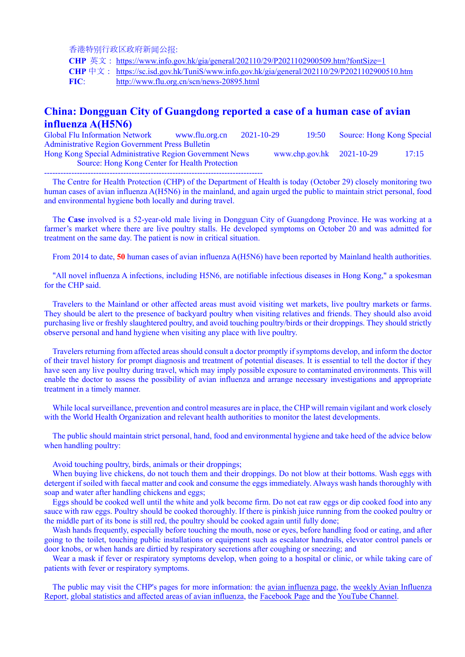香港特别行政区政府新闻公报:

**CHP** 英文: <https://www.info.gov.hk/gia/general/202110/29/P2021102900509.htm?fontSize=1>

**CHP** 中文: <https://sc.isd.gov.hk/TuniS/www.info.gov.hk/gia/general/202110/29/P2021102900510.htm>

**FIC**: <http://www.flu.org.cn/scn/news-20895.html>

## **China: Dongguan City of Guangdong reported a case of a human case of avian influenza A(H5N6)**

Global Flu Information Network www.flu.org.cn 2021-10-29 19:50 Source: Hong Kong Special Administrative Region Government Press Bulletin Hong Kong Special Administrative Region Government News www.chp.gov.hk 2021-10-29 17:15 Source: Hong Kong Center for Health Protection

--------------------------------------------------------------------------------

The Centre for Health Protection (CHP) of the Department of Health is today (October 29) closely monitoring two human cases of avian influenza A(H5N6) in the mainland, and again urged the public to maintain strict personal, food and environmental hygiene both locally and during travel.

The **Case** involved is a 52-year-old male living in Dongguan City of Guangdong Province. He was working at a farmer's market where there are live poultry stalls. He developed symptoms on October 20 and was admitted for treatment on the same day. The patient is now in critical situation.

From 2014 to date, **50** human cases of avian influenza A(H5N6) have been reported by Mainland health authorities.

"All novel influenza A infections, including H5N6, are notifiable infectious diseases in Hong Kong," a spokesman for the CHP said.

Travelers to the Mainland or other affected areas must avoid visiting wet markets, live poultry markets or farms. They should be alert to the presence of backyard poultry when visiting relatives and friends. They should also avoid purchasing live or freshly slaughtered poultry, and avoid touching poultry/birds or their droppings. They should strictly observe personal and hand hygiene when visiting any place with live poultry.

Travelers returning from affected areas should consult a doctor promptly if symptoms develop, and inform the doctor of their travel history for prompt diagnosis and treatment of potential diseases. It is essential to tell the doctor if they have seen any live poultry during travel, which may imply possible exposure to contaminated environments. This will enable the doctor to assess the possibility of avian influenza and arrange necessary investigations and appropriate treatment in a timely manner.

While local surveillance, prevention and control measures are in place, the CHP will remain vigilant and work closely with the World Health Organization and relevant health authorities to monitor the latest developments.

The public should maintain strict personal, hand, food and environmental hygiene and take heed of the advice below when handling poultry:

Avoid touching poultry, birds, animals or their droppings;

When buying live chickens, do not touch them and their droppings. Do not blow at their bottoms. Wash eggs with detergent if soiled with faecal matter and cook and consume the eggs immediately. Always wash hands thoroughly with soap and water after handling chickens and eggs;

Eggs should be cooked well until the white and yolk become firm. Do not eat raw eggs or dip cooked food into any sauce with raw eggs. Poultry should be cooked thoroughly. If there is pinkish juice running from the cooked poultry or the middle part of its bone is still red, the poultry should be cooked again until fully done;

Wash hands frequently, especially before touching the mouth, nose or eyes, before handling food or eating, and after going to the toilet, touching public installations or equipment such as escalator handrails, elevator control panels or door knobs, or when hands are dirtied by respiratory secretions after coughing or sneezing; and

Wear a mask if fever or respiratory symptoms develop, when going to a hospital or clinic, or while taking care of patients with fever or respiratory symptoms.

The public may visit the CHP's pages for more information: the [avian influenza page,](https://www.chp.gov.hk/en/features/24244.html) the [weekly Avian Influenza](https://www.chp.gov.hk/en/resources/29/332.html)  [Report,](https://www.chp.gov.hk/en/resources/29/332.html) [global statistics and affected areas of avian influenza,](https://www.chp.gov.hk/files/pdf/global_statistics_avian_influenza_c.pdf) the [Facebook Page](https://www.facebook.com/CentreforHealthProtection) and th[e YouTube Channel.](https://www.youtube.com/c/ChpGovHkChannel)